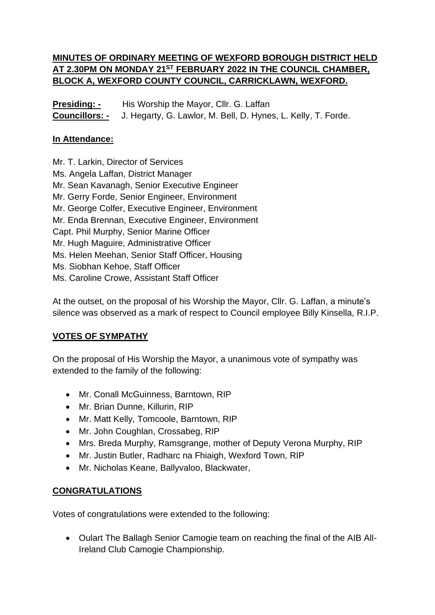### **MINUTES OF ORDINARY MEETING OF WEXFORD BOROUGH DISTRICT HELD AT 2.30PM ON MONDAY 21ST FEBRUARY 2022 IN THE COUNCIL CHAMBER, BLOCK A, WEXFORD COUNTY COUNCIL, CARRICKLAWN, WEXFORD.**

**Presiding: -** His Worship the Mayor, Cllr. G. Laffan **Councillors: -** J. Hegarty, G. Lawlor, M. Bell, D. Hynes, L. Kelly, T. Forde.

#### **In Attendance:**

Mr. T. Larkin, Director of Services Ms. Angela Laffan, District Manager Mr. Sean Kavanagh, Senior Executive Engineer Mr. Gerry Forde, Senior Engineer, Environment Mr. George Colfer, Executive Engineer, Environment Mr. Enda Brennan, Executive Engineer, Environment Capt. Phil Murphy, Senior Marine Officer Mr. Hugh Maguire, Administrative Officer Ms. Helen Meehan, Senior Staff Officer, Housing Ms. Siobhan Kehoe, Staff Officer Ms. Caroline Crowe, Assistant Staff Officer

At the outset, on the proposal of his Worship the Mayor, Cllr. G. Laffan, a minute's silence was observed as a mark of respect to Council employee Billy Kinsella, R.I.P.

### **VOTES OF SYMPATHY**

On the proposal of His Worship the Mayor, a unanimous vote of sympathy was extended to the family of the following:

- Mr. Conall McGuinness, Barntown, RIP
- Mr. Brian Dunne, Killurin, RIP
- Mr. Matt Kelly, Tomcoole, Barntown, RIP
- Mr. John Coughlan, Crossabeg, RIP
- Mrs. Breda Murphy, Ramsgrange, mother of Deputy Verona Murphy, RIP
- Mr. Justin Butler, Radharc na Fhiaigh, Wexford Town, RIP
- Mr. Nicholas Keane, Ballyvaloo, Blackwater,

#### **CONGRATULATIONS**

Votes of congratulations were extended to the following:

• Oulart The Ballagh Senior Camogie team on reaching the final of the AIB All-Ireland Club Camogie Championship.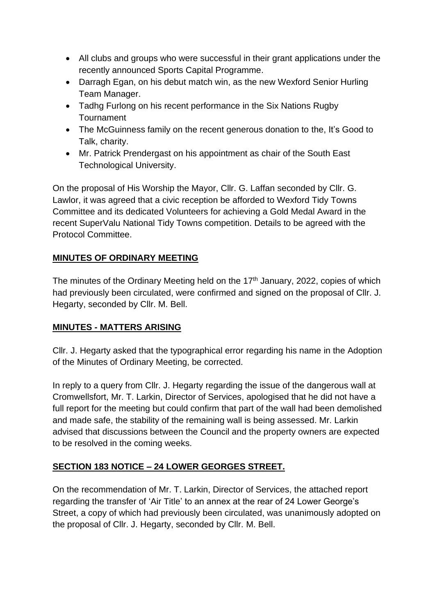- All clubs and groups who were successful in their grant applications under the recently announced Sports Capital Programme.
- Darragh Egan, on his debut match win, as the new Wexford Senior Hurling Team Manager.
- Tadhg Furlong on his recent performance in the Six Nations Rugby **Tournament**
- The McGuinness family on the recent generous donation to the, It's Good to Talk, charity.
- Mr. Patrick Prendergast on his appointment as chair of the South East Technological University.

On the proposal of His Worship the Mayor, Cllr. G. Laffan seconded by Cllr. G. Lawlor, it was agreed that a civic reception be afforded to Wexford Tidy Towns Committee and its dedicated Volunteers for achieving a Gold Medal Award in the recent SuperValu National Tidy Towns competition. Details to be agreed with the Protocol Committee.

#### **MINUTES OF ORDINARY MEETING**

The minutes of the Ordinary Meeting held on the  $17<sup>th</sup>$  January, 2022, copies of which had previously been circulated, were confirmed and signed on the proposal of Cllr. J. Hegarty, seconded by Cllr. M. Bell.

#### **MINUTES - MATTERS ARISING**

Cllr. J. Hegarty asked that the typographical error regarding his name in the Adoption of the Minutes of Ordinary Meeting, be corrected.

In reply to a query from Cllr. J. Hegarty regarding the issue of the dangerous wall at Cromwellsfort, Mr. T. Larkin, Director of Services, apologised that he did not have a full report for the meeting but could confirm that part of the wall had been demolished and made safe, the stability of the remaining wall is being assessed. Mr. Larkin advised that discussions between the Council and the property owners are expected to be resolved in the coming weeks.

### **SECTION 183 NOTICE – 24 LOWER GEORGES STREET.**

On the recommendation of Mr. T. Larkin, Director of Services, the attached report regarding the transfer of 'Air Title' to an annex at the rear of 24 Lower George's Street, a copy of which had previously been circulated, was unanimously adopted on the proposal of Cllr. J. Hegarty, seconded by Cllr. M. Bell.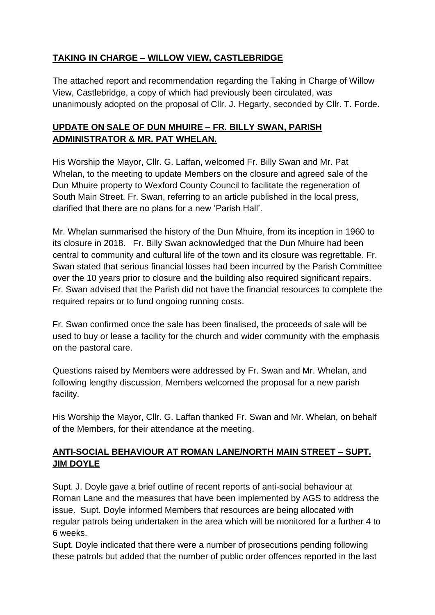# **TAKING IN CHARGE – WILLOW VIEW, CASTLEBRIDGE**

The attached report and recommendation regarding the Taking in Charge of Willow View, Castlebridge, a copy of which had previously been circulated, was unanimously adopted on the proposal of Cllr. J. Hegarty, seconded by Cllr. T. Forde.

### **UPDATE ON SALE OF DUN MHUIRE – FR. BILLY SWAN, PARISH ADMINISTRATOR & MR. PAT WHELAN.**

His Worship the Mayor, Cllr. G. Laffan, welcomed Fr. Billy Swan and Mr. Pat Whelan, to the meeting to update Members on the closure and agreed sale of the Dun Mhuire property to Wexford County Council to facilitate the regeneration of South Main Street. Fr. Swan, referring to an article published in the local press, clarified that there are no plans for a new 'Parish Hall'.

Mr. Whelan summarised the history of the Dun Mhuire, from its inception in 1960 to its closure in 2018. Fr. Billy Swan acknowledged that the Dun Mhuire had been central to community and cultural life of the town and its closure was regrettable. Fr. Swan stated that serious financial losses had been incurred by the Parish Committee over the 10 years prior to closure and the building also required significant repairs. Fr. Swan advised that the Parish did not have the financial resources to complete the required repairs or to fund ongoing running costs.

Fr. Swan confirmed once the sale has been finalised, the proceeds of sale will be used to buy or lease a facility for the church and wider community with the emphasis on the pastoral care.

Questions raised by Members were addressed by Fr. Swan and Mr. Whelan, and following lengthy discussion, Members welcomed the proposal for a new parish facility.

His Worship the Mayor, Cllr. G. Laffan thanked Fr. Swan and Mr. Whelan, on behalf of the Members, for their attendance at the meeting.

# **ANTI-SOCIAL BEHAVIOUR AT ROMAN LANE/NORTH MAIN STREET – SUPT. JIM DOYLE**

Supt. J. Doyle gave a brief outline of recent reports of anti-social behaviour at Roman Lane and the measures that have been implemented by AGS to address the issue. Supt. Doyle informed Members that resources are being allocated with regular patrols being undertaken in the area which will be monitored for a further 4 to 6 weeks.

Supt. Doyle indicated that there were a number of prosecutions pending following these patrols but added that the number of public order offences reported in the last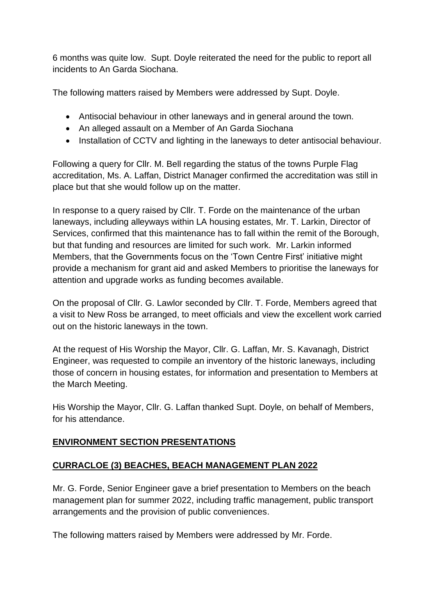6 months was quite low. Supt. Doyle reiterated the need for the public to report all incidents to An Garda Siochana.

The following matters raised by Members were addressed by Supt. Doyle.

- Antisocial behaviour in other laneways and in general around the town.
- An alleged assault on a Member of An Garda Siochana
- Installation of CCTV and lighting in the laneways to deter antisocial behaviour.

Following a query for Cllr. M. Bell regarding the status of the towns Purple Flag accreditation, Ms. A. Laffan, District Manager confirmed the accreditation was still in place but that she would follow up on the matter.

In response to a query raised by Cllr. T. Forde on the maintenance of the urban laneways, including alleyways within LA housing estates, Mr. T. Larkin, Director of Services, confirmed that this maintenance has to fall within the remit of the Borough, but that funding and resources are limited for such work. Mr. Larkin informed Members, that the Governments focus on the 'Town Centre First' initiative might provide a mechanism for grant aid and asked Members to prioritise the laneways for attention and upgrade works as funding becomes available.

On the proposal of Cllr. G. Lawlor seconded by Cllr. T. Forde, Members agreed that a visit to New Ross be arranged, to meet officials and view the excellent work carried out on the historic laneways in the town.

At the request of His Worship the Mayor, Cllr. G. Laffan, Mr. S. Kavanagh, District Engineer, was requested to compile an inventory of the historic laneways, including those of concern in housing estates, for information and presentation to Members at the March Meeting.

His Worship the Mayor, Cllr. G. Laffan thanked Supt. Doyle, on behalf of Members, for his attendance.

### **ENVIRONMENT SECTION PRESENTATIONS**

### **CURRACLOE (3) BEACHES, BEACH MANAGEMENT PLAN 2022**

Mr. G. Forde, Senior Engineer gave a brief presentation to Members on the beach management plan for summer 2022, including traffic management, public transport arrangements and the provision of public conveniences.

The following matters raised by Members were addressed by Mr. Forde.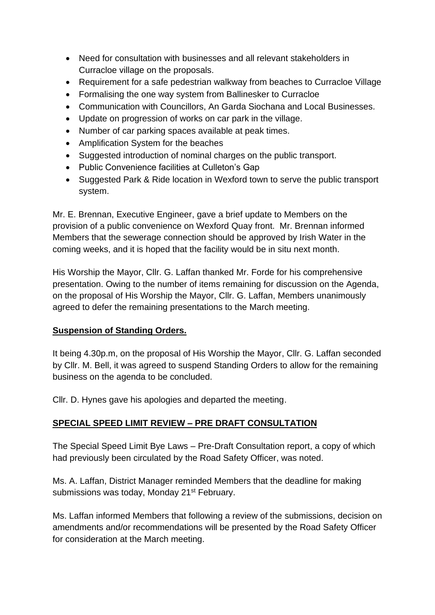- Need for consultation with businesses and all relevant stakeholders in Curracloe village on the proposals.
- Requirement for a safe pedestrian walkway from beaches to Curracloe Village
- Formalising the one way system from Ballinesker to Curracloe
- Communication with Councillors, An Garda Siochana and Local Businesses.
- Update on progression of works on car park in the village.
- Number of car parking spaces available at peak times.
- Amplification System for the beaches
- Suggested introduction of nominal charges on the public transport.
- Public Convenience facilities at Culleton's Gap
- Suggested Park & Ride location in Wexford town to serve the public transport system.

Mr. E. Brennan, Executive Engineer, gave a brief update to Members on the provision of a public convenience on Wexford Quay front. Mr. Brennan informed Members that the sewerage connection should be approved by Irish Water in the coming weeks, and it is hoped that the facility would be in situ next month.

His Worship the Mayor, Cllr. G. Laffan thanked Mr. Forde for his comprehensive presentation. Owing to the number of items remaining for discussion on the Agenda, on the proposal of His Worship the Mayor, Cllr. G. Laffan, Members unanimously agreed to defer the remaining presentations to the March meeting.

#### **Suspension of Standing Orders.**

It being 4.30p.m, on the proposal of His Worship the Mayor, Cllr. G. Laffan seconded by Cllr. M. Bell, it was agreed to suspend Standing Orders to allow for the remaining business on the agenda to be concluded.

Cllr. D. Hynes gave his apologies and departed the meeting.

#### **SPECIAL SPEED LIMIT REVIEW – PRE DRAFT CONSULTATION**

The Special Speed Limit Bye Laws – Pre-Draft Consultation report, a copy of which had previously been circulated by the Road Safety Officer, was noted.

Ms. A. Laffan, District Manager reminded Members that the deadline for making submissions was today, Monday 21<sup>st</sup> February.

Ms. Laffan informed Members that following a review of the submissions, decision on amendments and/or recommendations will be presented by the Road Safety Officer for consideration at the March meeting.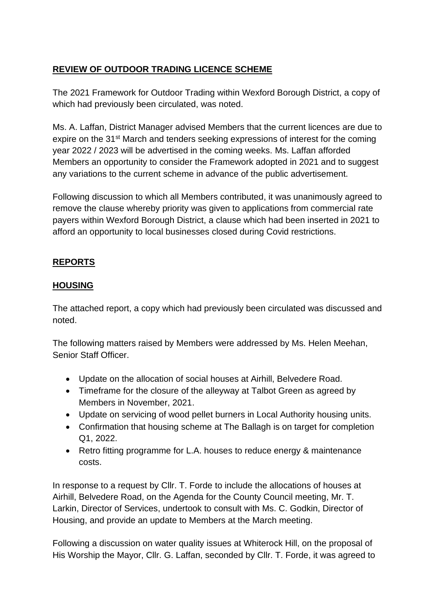# **REVIEW OF OUTDOOR TRADING LICENCE SCHEME**

The 2021 Framework for Outdoor Trading within Wexford Borough District, a copy of which had previously been circulated, was noted.

Ms. A. Laffan, District Manager advised Members that the current licences are due to expire on the 31<sup>st</sup> March and tenders seeking expressions of interest for the coming year 2022 / 2023 will be advertised in the coming weeks. Ms. Laffan afforded Members an opportunity to consider the Framework adopted in 2021 and to suggest any variations to the current scheme in advance of the public advertisement.

Following discussion to which all Members contributed, it was unanimously agreed to remove the clause whereby priority was given to applications from commercial rate payers within Wexford Borough District, a clause which had been inserted in 2021 to afford an opportunity to local businesses closed during Covid restrictions.

# **REPORTS**

### **HOUSING**

The attached report, a copy which had previously been circulated was discussed and noted.

The following matters raised by Members were addressed by Ms. Helen Meehan, Senior Staff Officer.

- Update on the allocation of social houses at Airhill, Belvedere Road.
- Timeframe for the closure of the alleyway at Talbot Green as agreed by Members in November, 2021.
- Update on servicing of wood pellet burners in Local Authority housing units.
- Confirmation that housing scheme at The Ballagh is on target for completion Q1, 2022.
- Retro fitting programme for L.A. houses to reduce energy & maintenance costs.

In response to a request by Cllr. T. Forde to include the allocations of houses at Airhill, Belvedere Road, on the Agenda for the County Council meeting, Mr. T. Larkin, Director of Services, undertook to consult with Ms. C. Godkin, Director of Housing, and provide an update to Members at the March meeting.

Following a discussion on water quality issues at Whiterock Hill, on the proposal of His Worship the Mayor, Cllr. G. Laffan, seconded by Cllr. T. Forde, it was agreed to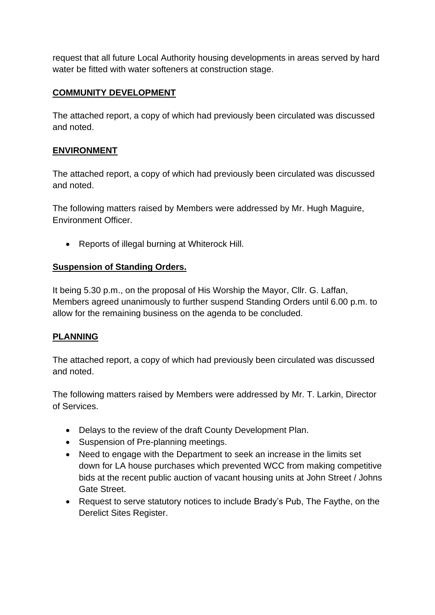request that all future Local Authority housing developments in areas served by hard water be fitted with water softeners at construction stage.

### **COMMUNITY DEVELOPMENT**

The attached report, a copy of which had previously been circulated was discussed and noted.

#### **ENVIRONMENT**

The attached report, a copy of which had previously been circulated was discussed and noted.

The following matters raised by Members were addressed by Mr. Hugh Maguire, Environment Officer.

• Reports of illegal burning at Whiterock Hill.

#### **Suspension of Standing Orders.**

It being 5.30 p.m., on the proposal of His Worship the Mayor, Cllr. G. Laffan, Members agreed unanimously to further suspend Standing Orders until 6.00 p.m. to allow for the remaining business on the agenda to be concluded.

### **PLANNING**

The attached report, a copy of which had previously been circulated was discussed and noted.

The following matters raised by Members were addressed by Mr. T. Larkin, Director of Services.

- Delays to the review of the draft County Development Plan.
- Suspension of Pre-planning meetings.
- Need to engage with the Department to seek an increase in the limits set down for LA house purchases which prevented WCC from making competitive bids at the recent public auction of vacant housing units at John Street / Johns Gate Street.
- Request to serve statutory notices to include Brady's Pub, The Faythe, on the Derelict Sites Register.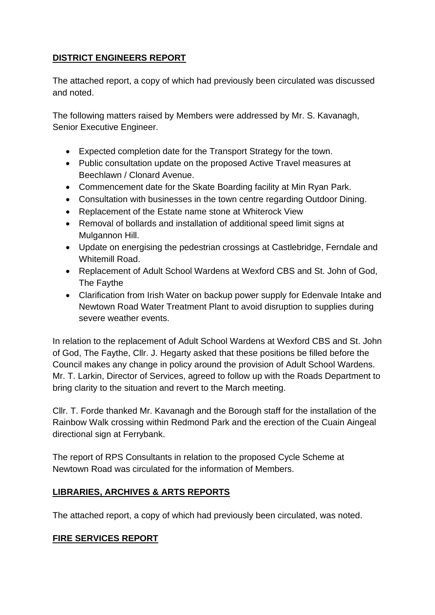### **DISTRICT ENGINEERS REPORT**

The attached report, a copy of which had previously been circulated was discussed and noted.

The following matters raised by Members were addressed by Mr. S. Kavanagh, Senior Executive Engineer.

- Expected completion date for the Transport Strategy for the town.
- Public consultation update on the proposed Active Travel measures at Beechlawn / Clonard Avenue.
- Commencement date for the Skate Boarding facility at Min Ryan Park.
- Consultation with businesses in the town centre regarding Outdoor Dining.
- Replacement of the Estate name stone at Whiterock View
- Removal of bollards and installation of additional speed limit signs at Mulgannon Hill.
- Update on energising the pedestrian crossings at Castlebridge, Ferndale and Whitemill Road.
- Replacement of Adult School Wardens at Wexford CBS and St. John of God, The Faythe
- Clarification from Irish Water on backup power supply for Edenvale Intake and Newtown Road Water Treatment Plant to avoid disruption to supplies during severe weather events.

In relation to the replacement of Adult School Wardens at Wexford CBS and St. John of God, The Faythe, Cllr. J. Hegarty asked that these positions be filled before the Council makes any change in policy around the provision of Adult School Wardens. Mr. T. Larkin, Director of Services, agreed to follow up with the Roads Department to bring clarity to the situation and revert to the March meeting.

Cllr. T. Forde thanked Mr. Kavanagh and the Borough staff for the installation of the Rainbow Walk crossing within Redmond Park and the erection of the Cuain Aingeal directional sign at Ferrybank.

The report of RPS Consultants in relation to the proposed Cycle Scheme at Newtown Road was circulated for the information of Members.

# **LIBRARIES, ARCHIVES & ARTS REPORTS**

The attached report, a copy of which had previously been circulated, was noted.

### **FIRE SERVICES REPORT**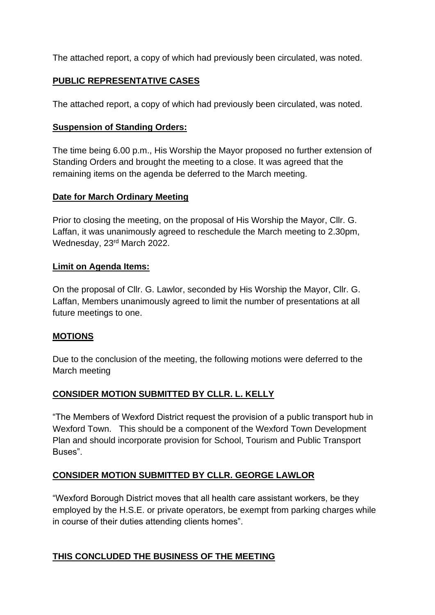The attached report, a copy of which had previously been circulated, was noted.

### **PUBLIC REPRESENTATIVE CASES**

The attached report, a copy of which had previously been circulated, was noted.

### **Suspension of Standing Orders:**

The time being 6.00 p.m., His Worship the Mayor proposed no further extension of Standing Orders and brought the meeting to a close. It was agreed that the remaining items on the agenda be deferred to the March meeting.

#### **Date for March Ordinary Meeting**

Prior to closing the meeting, on the proposal of His Worship the Mayor, Cllr. G. Laffan, it was unanimously agreed to reschedule the March meeting to 2.30pm, Wednesday, 23<sup>rd</sup> March 2022.

#### **Limit on Agenda Items:**

On the proposal of Cllr. G. Lawlor, seconded by His Worship the Mayor, Cllr. G. Laffan, Members unanimously agreed to limit the number of presentations at all future meetings to one.

### **MOTIONS**

Due to the conclusion of the meeting, the following motions were deferred to the March meeting

### **CONSIDER MOTION SUBMITTED BY CLLR. L. KELLY**

"The Members of Wexford District request the provision of a public transport hub in Wexford Town. This should be a component of the Wexford Town Development Plan and should incorporate provision for School, Tourism and Public Transport Buses".

### **CONSIDER MOTION SUBMITTED BY CLLR. GEORGE LAWLOR**

"Wexford Borough District moves that all health care assistant workers, be they employed by the H.S.E. or private operators, be exempt from parking charges while in course of their duties attending clients homes".

### **THIS CONCLUDED THE BUSINESS OF THE MEETING**